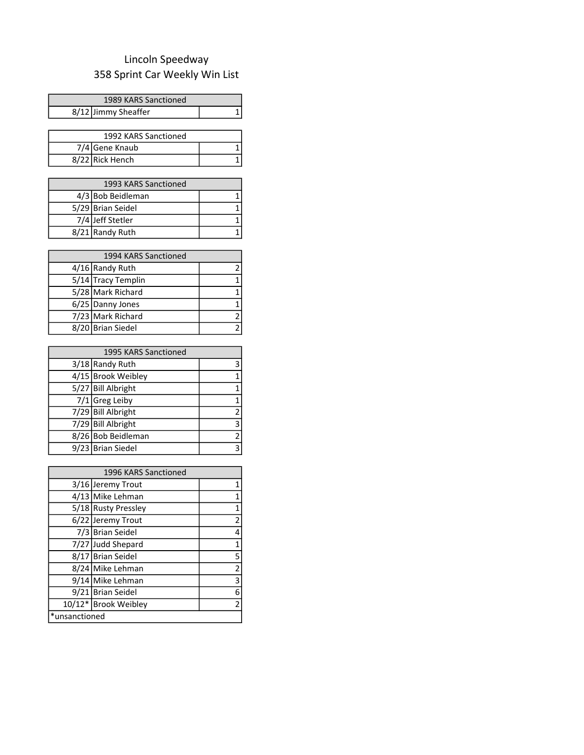## 358 Sprint Car Weekly Win List Lincoln Speedway

| 1989 KARS Sanctioned |  |
|----------------------|--|
| 8/12 Jimmy Sheaffer  |  |

| 1992 KARS Sanctioned |  |
|----------------------|--|
| 7/4 Gene Knaub       |  |
| 8/22 Rick Hench      |  |

| 1993 KARS Sanctioned |                   |  |
|----------------------|-------------------|--|
|                      | 4/3 Bob Beidleman |  |
|                      | 5/29 Brian Seidel |  |
|                      | 7/4 Jeff Stetler  |  |
|                      | 8/21 Randy Ruth   |  |

| 1994 KARS Sanctioned |                    |                |
|----------------------|--------------------|----------------|
|                      | 4/16 Randy Ruth    | 2              |
|                      | 5/14 Tracy Templin |                |
|                      | 5/28 Mark Richard  |                |
|                      | 6/25 Danny Jones   | 1              |
|                      | 7/23 Mark Richard  | $\overline{2}$ |
|                      | 8/20 Brian Siedel  | $\mathcal{P}$  |

| 1995 KARS Sanctioned |                    |                |
|----------------------|--------------------|----------------|
|                      | 3/18 Randy Ruth    | 3              |
|                      | 4/15 Brook Weibley | 1              |
|                      | 5/27 Bill Albright | $\mathbf 1$    |
|                      | $7/1$ Greg Leiby   | $\mathbf 1$    |
|                      | 7/29 Bill Albright | $\overline{2}$ |
|                      | 7/29 Bill Albright | 3              |
|                      | 8/26 Bob Beidleman | 2              |
|                      | 9/23 Brian Siedel  | 3              |

| 1996 KARS Sanctioned |                      |                         |
|----------------------|----------------------|-------------------------|
|                      | 3/16 Jeremy Trout    | 1                       |
|                      | 4/13 Mike Lehman     | 1                       |
|                      | 5/18 Rusty Pressley  | 1                       |
|                      | 6/22 Jeremy Trout    | 2                       |
|                      | 7/3 Brian Seidel     | 4                       |
|                      | 7/27 Judd Shepard    | 1                       |
|                      | 8/17 Brian Seidel    | 5                       |
|                      | 8/24 Mike Lehman     | $\overline{2}$          |
|                      | 9/14 Mike Lehman     | 3                       |
|                      | 9/21 Brian Seidel    | 6                       |
|                      | 10/12* Brook Weibley | $\overline{\mathbf{c}}$ |
| *unsanctioned        |                      |                         |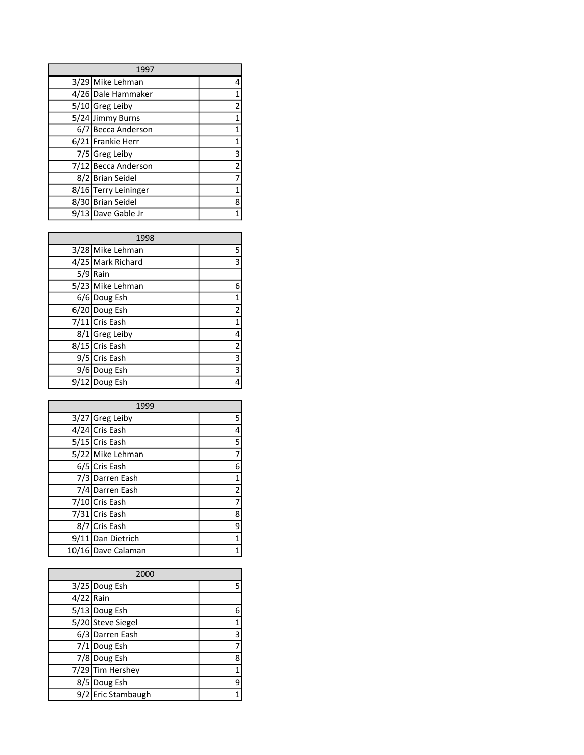| 1997 |                      |   |
|------|----------------------|---|
|      | 3/29 Mike Lehman     | 4 |
|      | 4/26 Dale Hammaker   |   |
|      | 5/10 Greg Leiby      |   |
|      | 5/24 Jimmy Burns     |   |
| 6/7  | Becca Anderson       |   |
|      | 6/21 Frankie Herr    |   |
|      | 7/5 Greg Leiby       | 3 |
|      | 7/12 Becca Anderson  | 2 |
|      | 8/2 Brian Seidel     |   |
|      | 8/16 Terry Leininger |   |
|      | 8/30 Brian Seidel    | 8 |
|      | 9/13 Dave Gable Jr   |   |

| 1998 |                   |   |
|------|-------------------|---|
|      | 3/28 Mike Lehman  | 5 |
|      | 4/25 Mark Richard | 3 |
| 5/9  | Rain              |   |
|      | 5/23 Mike Lehman  | 6 |
|      | 6/6 Doug Esh      |   |
|      | 6/20 Doug Esh     | 2 |
|      | 7/11 Cris Eash    |   |
|      | 8/1 Greg Leiby    | 4 |
|      | 8/15 Cris Eash    | 2 |
|      | 9/5 Cris Eash     | 3 |
|      | 9/6 Doug Esh      | 3 |
|      | 9/12 Doug Esh     |   |

| 1999 |                    |                         |
|------|--------------------|-------------------------|
|      | 3/27 Greg Leiby    | 5                       |
|      | 4/24 Cris Eash     | 4                       |
|      | 5/15 Cris Eash     | 5                       |
|      | 5/22 Mike Lehman   | 7                       |
|      | 6/5 Cris Eash      | 6                       |
|      | 7/3 Darren Eash    | 1                       |
|      | 7/4 Darren Eash    | $\overline{\mathbf{c}}$ |
|      | 7/10 Cris Eash     | 7                       |
|      | 7/31 Cris Eash     | 8                       |
| 8/7  | Cris Eash          | 9                       |
|      | 9/11 Dan Dietrich  | 1                       |
|      | 10/16 Dave Calaman |                         |

| 2000        |                    |   |
|-------------|--------------------|---|
|             | 3/25 Doug Esh      |   |
| $4/22$ Rain |                    |   |
|             | 5/13 Doug Esh      |   |
|             | 5/20 Steve Siegel  |   |
|             | 6/3 Darren Eash    | 3 |
|             | 7/1 Doug Esh       |   |
|             | 7/8 Doug Esh       | 8 |
|             | 7/29 Tim Hershey   |   |
|             | 8/5 Doug Esh       |   |
|             | 9/2 Eric Stambaugh |   |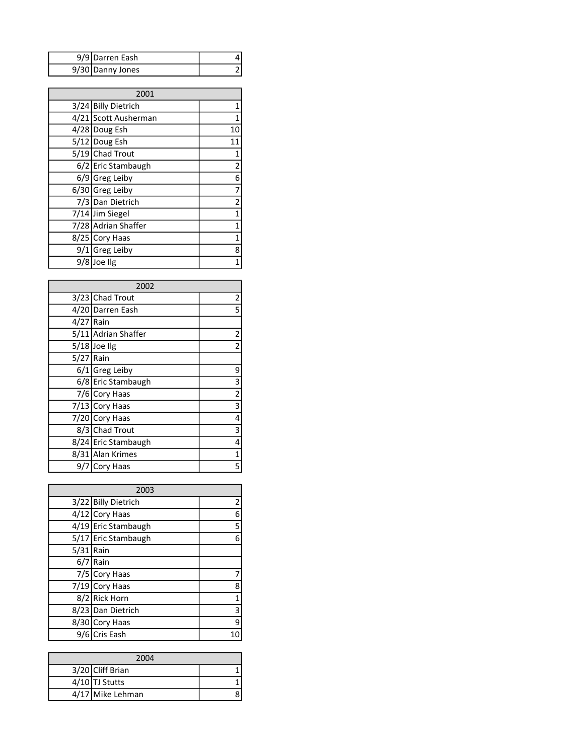| 9/9 Darren Eash  |  |
|------------------|--|
| 9/30 Danny Jones |  |

| 2001 |                      |                         |
|------|----------------------|-------------------------|
|      | 3/24 Billy Dietrich  | 1                       |
|      | 4/21 Scott Ausherman |                         |
|      | 4/28 Doug Esh        | 10                      |
|      | 5/12 Doug Esh        | 11                      |
|      | 5/19 Chad Trout      | 1                       |
|      | 6/2 Eric Stambaugh   | 2                       |
|      | $6/9$ Greg Leiby     | 6                       |
|      | 6/30 Greg Leiby      | 7                       |
|      | 7/3 Dan Dietrich     | $\overline{\mathbf{c}}$ |
|      | 7/14 Jim Siegel      | $\mathbf 1$             |
|      | 7/28 Adrian Shaffer  | 1                       |
|      | 8/25 Cory Haas       | 1                       |
|      | 9/1 Greg Leiby       | 8                       |
|      | 9/8 Joe Ilg          | 1                       |

| 2002        |                     |                         |
|-------------|---------------------|-------------------------|
|             | 3/23 Chad Trout     | 2                       |
|             | 4/20 Darren Eash    | 5                       |
| $4/27$ Rain |                     |                         |
|             | 5/11 Adrian Shaffer | $\overline{\mathbf{c}}$ |
|             | $5/18$ Joe Ilg      | $\overline{\mathbf{c}}$ |
| $5/27$ Rain |                     |                         |
|             | $6/1$ Greg Leiby    | 9                       |
|             | 6/8 Eric Stambaugh  | 3                       |
|             | 7/6 Cory Haas       | 2                       |
|             | 7/13 Cory Haas      | 3                       |
|             | 7/20 Cory Haas      | 4                       |
|             | 8/3 Chad Trout      | 3                       |
|             | 8/24 Eric Stambaugh | 4                       |
|             | 8/31 Alan Krimes    | 1                       |
|             | 9/7 Cory Haas       | 5                       |

| 2003        |                     |   |
|-------------|---------------------|---|
|             | 3/22 Billy Dietrich | 2 |
|             | 4/12 Cory Haas      | 6 |
|             | 4/19 Eric Stambaugh | 5 |
|             | 5/17 Eric Stambaugh | 6 |
| $5/31$ Rain |                     |   |
| 6/7         | <b>Rain</b>         |   |
|             | 7/5 Cory Haas       |   |
|             | 7/19 Cory Haas      | 8 |
|             | 8/2 Rick Horn       | 1 |
|             | 8/23 Dan Dietrich   | 3 |
|             | 8/30 Cory Haas      | 9 |
| 9/6         | Cris Eash           |   |

| 2004 |                  |  |
|------|------------------|--|
|      | 3/20 Cliff Brian |  |
|      | $4/10$ TJ Stutts |  |
|      | 4/17 Mike Lehman |  |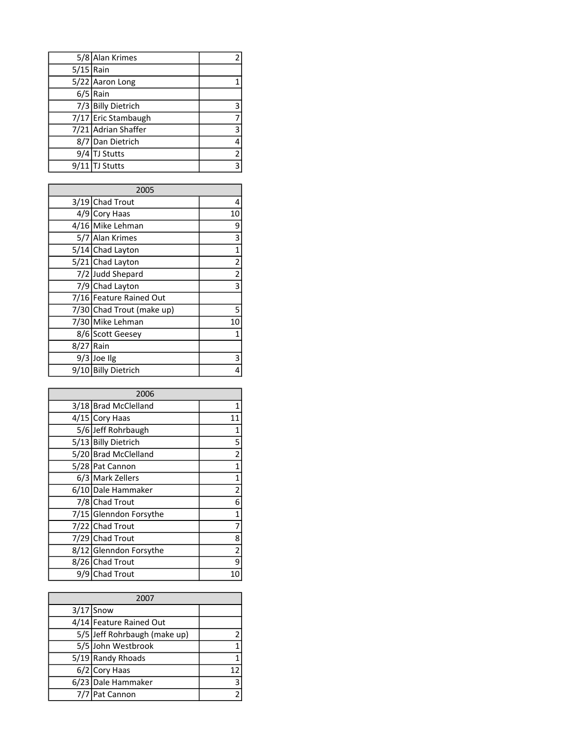|             | 5/8 Alan Krimes     | 2 |
|-------------|---------------------|---|
| $5/15$ Rain |                     |   |
|             | 5/22 Aaron Long     |   |
|             | $6/5$ Rain          |   |
|             | 7/3 Billy Dietrich  |   |
|             | 7/17 Eric Stambaugh |   |
|             | 7/21 Adrian Shaffer |   |
|             | 8/7 Dan Dietrich    |   |
|             | 9/4 TJ Stutts       |   |
|             | $9/11$ TJ Stutts    |   |

| 2005 |                           |                         |
|------|---------------------------|-------------------------|
|      | $3/19$ Chad Trout         | 4                       |
|      | 4/9 Cory Haas             | 10                      |
|      | 4/16 Mike Lehman          | 9                       |
|      | 5/7 Alan Krimes           | 3                       |
|      | 5/14 Chad Layton          | 1                       |
|      | 5/21 Chad Layton          | 2                       |
|      | 7/2 Judd Shepard          | $\overline{\mathbf{c}}$ |
|      | 7/9 Chad Layton           | 3                       |
|      | 7/16 Feature Rained Out   |                         |
|      | 7/30 Chad Trout (make up) | 5                       |
|      | 7/30 Mike Lehman          | 10                      |
|      | 8/6 Scott Geesey          | 1                       |
| 8/27 | Rain                      |                         |
|      | 9/3 Joe Ilg               | 3                       |
|      | 9/10 Billy Dietrich       | 4                       |

| 2006 |                        |                         |
|------|------------------------|-------------------------|
|      | 3/18 Brad McClelland   | 1                       |
|      | 4/15 Cory Haas         | 11                      |
|      | 5/6 Jeff Rohrbaugh     | 1                       |
|      | 5/13 Billy Dietrich    | 5                       |
|      | 5/20 Brad McClelland   | $\overline{\mathbf{c}}$ |
|      | 5/28 Pat Cannon        | $\mathbf 1$             |
|      | 6/3 Mark Zellers       | $\mathbf{1}$            |
|      | 6/10 Dale Hammaker     | $\overline{\mathbf{c}}$ |
|      | 7/8 Chad Trout         | 6                       |
|      | 7/15 Glenndon Forsythe | $\mathbf 1$             |
|      | 7/22 Chad Trout        | 7                       |
|      | 7/29 Chad Trout        | 8                       |
|      | 8/12 Glenndon Forsythe | 2                       |
|      | 8/26 Chad Trout        | 9                       |
|      | 9/9 Chad Trout         | 10                      |

| 2007 |                              |               |
|------|------------------------------|---------------|
|      | $3/17$ Snow                  |               |
|      | 4/14 Feature Rained Out      |               |
|      | 5/5 Jeff Rohrbaugh (make up) | 2             |
|      | 5/5 John Westbrook           | $\mathbf 1$   |
|      | 5/19 Randy Rhoads            | $\mathbf{1}$  |
|      | $6/2$ Cory Haas              | 12            |
|      | 6/23 Dale Hammaker           | 3             |
|      | 7/7 Pat Cannon               | $\mathcal{P}$ |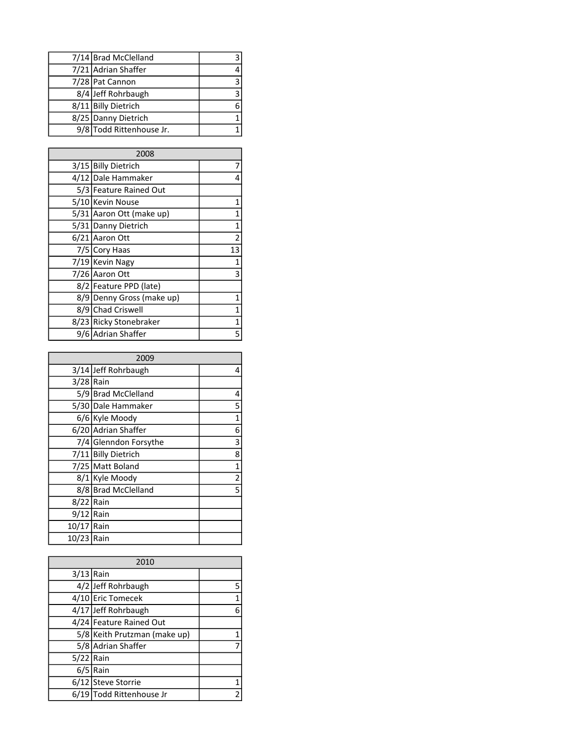| 7/14 Brad McClelland     |   |
|--------------------------|---|
| 7/21 Adrian Shaffer      | 4 |
| 7/28 Pat Cannon          | 3 |
| 8/4 Jeff Rohrbaugh       | ₹ |
| 8/11 Billy Dietrich      | 6 |
| 8/25 Danny Dietrich      |   |
| 9/8 Todd Rittenhouse Jr. |   |

| 2008 |                           |    |
|------|---------------------------|----|
|      | 3/15 Billy Dietrich       |    |
|      | 4/12 Dale Hammaker        | 4  |
|      | 5/3 Feature Rained Out    |    |
|      | 5/10 Kevin Nouse          | 1  |
|      | 5/31 Aaron Ott (make up)  | 1  |
|      | 5/31 Danny Dietrich       | 1  |
|      | 6/21 Aaron Ott            | 2  |
|      | 7/5 Cory Haas             | 13 |
|      | 7/19 Kevin Nagy           | 1  |
|      | 7/26 Aaron Ott            | 3  |
|      | 8/2   Feature PPD (late)  |    |
|      | 8/9 Denny Gross (make up) | 1  |
|      | 8/9 Chad Criswell         | 1  |
|      | 8/23 Ricky Stonebraker    | 1  |
|      | 9/6 Adrian Shaffer        | 5  |

| 2009        |                       |                         |
|-------------|-----------------------|-------------------------|
|             | 3/14 Jeff Rohrbaugh   | 4                       |
|             |                       |                         |
| $3/28$ Rain |                       |                         |
|             | 5/9 Brad McClelland   | 4                       |
|             | 5/30 Dale Hammaker    | 5                       |
|             | 6/6 Kyle Moody        | 1                       |
|             | 6/20 Adrian Shaffer   | 6                       |
|             | 7/4 Glenndon Forsythe | 3                       |
|             | 7/11 Billy Dietrich   | 8                       |
|             | 7/25 Matt Boland      | 1                       |
|             | 8/1 Kyle Moody        | $\overline{\mathbf{c}}$ |
|             | 8/8 Brad McClelland   | 5                       |
| 8/22        | Rain                  |                         |
| $9/12$ Rain |                       |                         |
| 10/17 Rain  |                       |                         |
| 10/23 Rain  |                       |                         |

| 2010        |                              |   |
|-------------|------------------------------|---|
| $3/13$ Rain |                              |   |
|             | 4/2 Jeff Rohrbaugh           | 5 |
|             | 4/10 Eric Tomecek            | 1 |
|             | 4/17 Jeff Rohrbaugh          | 6 |
|             | 4/24 Feature Rained Out      |   |
|             | 5/8 Keith Prutzman (make up) |   |
|             | 5/8 Adrian Shaffer           |   |
| $5/22$ Rain |                              |   |
|             | $6/5$ Rain                   |   |
|             | 6/12 Steve Storrie           |   |
|             | 6/19 Todd Rittenhouse Jr     | 2 |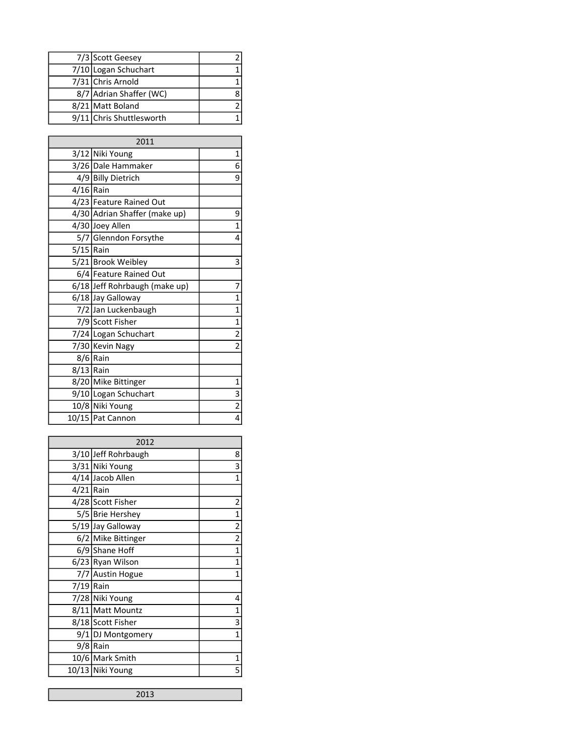| 7/3 Scott Geesey         |  |
|--------------------------|--|
| 7/10 Logan Schuchart     |  |
| 7/31 Chris Arnold        |  |
| 8/7 Adrian Shaffer (WC)  |  |
| 8/21 Matt Boland         |  |
| 9/11 Chris Shuttlesworth |  |

|             | 2011                          |                         |
|-------------|-------------------------------|-------------------------|
|             | 3/12 Niki Young               | 1                       |
|             | 3/26 Dale Hammaker            | 6                       |
|             | 4/9 Billy Dietrich            | 9                       |
| $4/16$ Rain |                               |                         |
|             | 4/23 Feature Rained Out       |                         |
|             | 4/30 Adrian Shaffer (make up) | 9                       |
|             | 4/30 Joey Allen               | $\mathbf 1$             |
|             | 5/7 Glenndon Forsythe         | 4                       |
| $5/15$ Rain |                               |                         |
|             | 5/21 Brook Weibley            | 3                       |
|             | 6/4 Feature Rained Out        |                         |
|             | 6/18 Jeff Rohrbaugh (make up) | 7                       |
|             | 6/18 Jay Galloway             | 1                       |
|             | 7/2 Jan Luckenbaugh           | $\mathbf 1$             |
|             | 7/9 Scott Fisher              | $\mathbf 1$             |
|             | 7/24 Logan Schuchart          | $\overline{\mathbf{c}}$ |
|             | 7/30 Kevin Nagy               | 2                       |
|             | 8/6 Rain                      |                         |
| $8/13$ Rain |                               |                         |
|             | 8/20 Mike Bittinger           | $1\vert$                |
|             | 9/10 Logan Schuchart          | 3                       |
|             | 10/8 Niki Young               | $\overline{2}$          |
|             | 10/15 Pat Cannon              | 4                       |

| 2012        |                     |              |
|-------------|---------------------|--------------|
|             | 3/10 Jeff Rohrbaugh | 8            |
|             | 3/31 Niki Young     | 3            |
|             | 4/14 Jacob Allen    | 1            |
| $4/21$ Rain |                     |              |
|             | 4/28 Scott Fisher   | 2            |
|             | 5/5 Brie Hershey    | 1            |
|             | 5/19 Jay Galloway   | $\mathbf{2}$ |
|             | 6/2 Mike Bittinger  | $\mathbf{2}$ |
|             | 6/9 Shane Hoff      | $\mathbf 1$  |
|             | 6/23 Ryan Wilson    | 1            |
|             | 7/7 Austin Hogue    | 1            |
| 7/19 Rain   |                     |              |
|             | 7/28 Niki Young     | 4            |
|             | 8/11 Matt Mountz    | 1            |
|             | 8/18 Scott Fisher   | 3            |
|             | 9/1 DJ Montgomery   | 1            |
|             | 9/8 Rain            |              |
|             | 10/6 Mark Smith     | 1            |
|             | 10/13 Niki Young    | 5            |

2013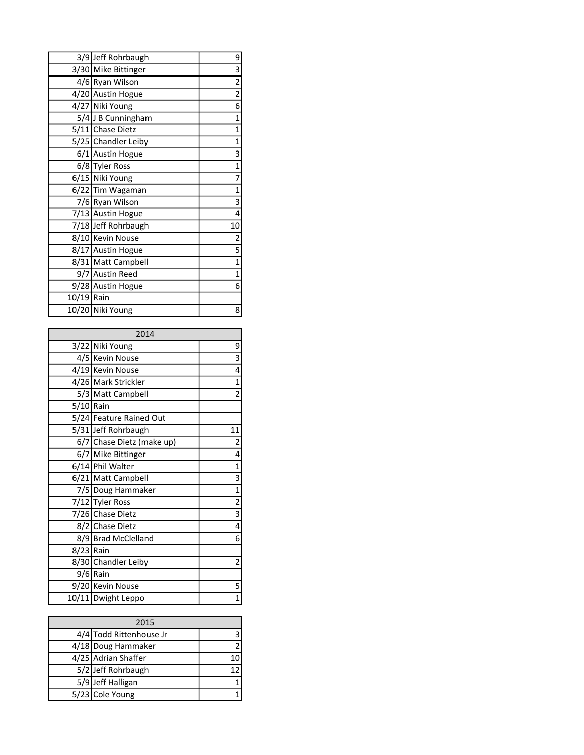|            | 3/9 Jeff Rohrbaugh  | 9                       |
|------------|---------------------|-------------------------|
|            | 3/30 Mike Bittinger | 3                       |
|            | 4/6 Ryan Wilson     | $\overline{\mathbf{c}}$ |
|            | 4/20 Austin Hogue   | $\overline{\mathbf{c}}$ |
|            | 4/27 Niki Young     | 6                       |
|            | 5/4 J B Cunningham  | $\mathbf{1}$            |
|            | 5/11 Chase Dietz    | 1                       |
|            | 5/25 Chandler Leiby | $\mathbf 1$             |
|            | 6/1 Austin Hogue    | 3                       |
|            | 6/8 Tyler Ross      | 1                       |
|            | 6/15 Niki Young     | 7                       |
|            | 6/22 Tim Wagaman    | $\mathbf 1$             |
|            | 7/6 Ryan Wilson     | 3                       |
|            | 7/13 Austin Hogue   | 4                       |
|            | 7/18 Jeff Rohrbaugh | 10 <sup>1</sup>         |
|            | 8/10 Kevin Nouse    | 2                       |
|            | 8/17 Austin Hogue   | 5                       |
|            | 8/31 Matt Campbell  | $\mathbf 1$             |
|            | 9/7 Austin Reed     | 1                       |
|            | 9/28 Austin Hogue   | 6                       |
| 10/19 Rain |                     |                         |
|            | 10/20 Niki Young    | 8                       |

| 2014        |                           |                         |
|-------------|---------------------------|-------------------------|
|             | 3/22 Niki Young           | 9                       |
|             | 4/5 Kevin Nouse           | 3                       |
|             | 4/19 Kevin Nouse          | 4                       |
|             | 4/26 Mark Strickler       | $\mathbf{1}$            |
|             | 5/3 Matt Campbell         | $\overline{2}$          |
| $5/10$ Rain |                           |                         |
|             | 5/24 Feature Rained Out   |                         |
|             | 5/31 Jeff Rohrbaugh       | 11                      |
|             | 6/7 Chase Dietz (make up) | 2                       |
|             | 6/7 Mike Bittinger        | 4                       |
|             | 6/14 Phil Walter          | $\mathbf{1}$            |
|             | 6/21 Matt Campbell        | 3                       |
|             | 7/5 Doug Hammaker         | $\mathbf{1}$            |
|             | 7/12 Tyler Ross           | $\overline{2}$          |
|             | 7/26 Chase Dietz          | 3                       |
|             | 8/2 Chase Dietz           | 4                       |
|             | 8/9 Brad McClelland       | 6                       |
| 8/23 Rain   |                           |                         |
|             | 8/30 Chandler Leiby       | $\overline{\mathbf{c}}$ |
|             | $9/6$ Rain                |                         |
|             | 9/20 Kevin Nouse          | 5                       |
|             | 10/11 Dwight Leppo        | 1                       |

| 2015 |                         |    |
|------|-------------------------|----|
|      | 4/4 Todd Rittenhouse Jr |    |
|      | 4/18 Doug Hammaker      | 2  |
|      | 4/25 Adrian Shaffer     | 10 |
|      | 5/2 Jeff Rohrbaugh      | 12 |
|      | 5/9 Jeff Halligan       |    |
|      | 5/23 Cole Young         |    |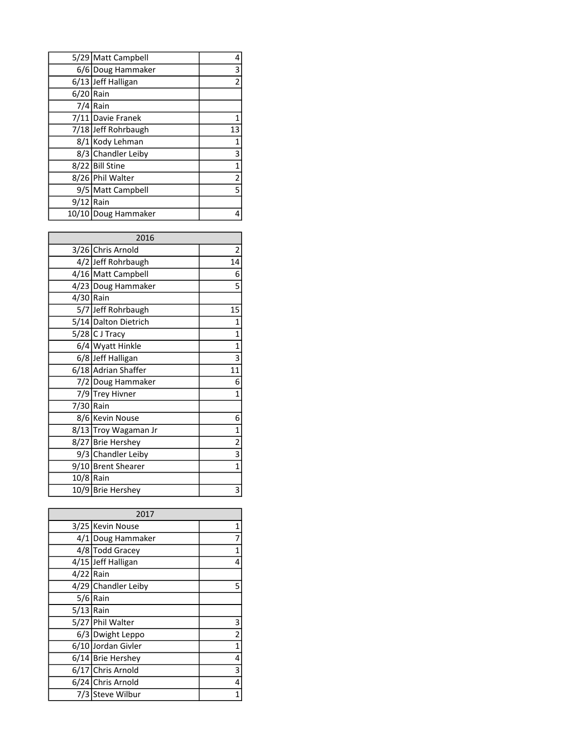|             | 5/29 Matt Campbell  | 4  |
|-------------|---------------------|----|
|             | 6/6 Doug Hammaker   | 3  |
|             | 6/13 Jeff Halligan  | 2  |
| $6/20$ Rain |                     |    |
|             | $7/4$ Rain          |    |
|             | 7/11 Davie Franek   |    |
|             | 7/18 Jeff Rohrbaugh | 13 |
|             | 8/1 Kody Lehman     | 1  |
|             | 8/3 Chandler Leiby  | 3  |
|             | 8/22 Bill Stine     | 1  |
|             | 8/26 Phil Walter    | 2  |
|             | 9/5 Matt Campbell   | 5  |
| $9/12$ Rain |                     |    |
|             | 10/10 Doug Hammaker |    |

| 2016      |                      |                         |
|-----------|----------------------|-------------------------|
|           | 3/26 Chris Arnold    | $\overline{\mathbf{c}}$ |
|           | 4/2 Jeff Rohrbaugh   | 14                      |
|           | 4/16 Matt Campbell   | 6                       |
|           | 4/23 Doug Hammaker   | 5                       |
| 4/30 Rain |                      |                         |
|           | 5/7 Jeff Rohrbaugh   | 15                      |
|           | 5/14 Dalton Dietrich | 1                       |
|           | 5/28 C J Tracy       | $\mathbf 1$             |
|           | 6/4 Wyatt Hinkle     | $\mathbf 1$             |
|           | 6/8 Jeff Halligan    | 3                       |
|           | 6/18 Adrian Shaffer  | 11                      |
|           | 7/2 Doug Hammaker    | 6                       |
|           | 7/9 Trey Hivner      | 1                       |
| 7/30 Rain |                      |                         |
|           | 8/6 Kevin Nouse      | 6                       |
|           | 8/13 Troy Wagaman Jr | 1                       |
|           | 8/27 Brie Hershey    | $\overline{\mathbf{c}}$ |
|           | 9/3 Chandler Leiby   | 3                       |
|           | 9/10 Brent Shearer   | 1                       |
| 10/8 Rain |                      |                         |
|           | 10/9 Brie Hershey    | 3                       |

|             | 2017                |                |
|-------------|---------------------|----------------|
|             | 3/25 Kevin Nouse    | 1              |
|             | 4/1 Doug Hammaker   | 7              |
|             | 4/8 Todd Gracey     | 1              |
|             | 4/15 Jeff Halligan  | 4              |
| $4/22$ Rain |                     |                |
|             | 4/29 Chandler Leiby | 5              |
|             | 5/6 Rain            |                |
| $5/13$ Rain |                     |                |
|             | 5/27 Phil Walter    | 3              |
|             | 6/3 Dwight Leppo    | $\overline{2}$ |
|             | 6/10 Jordan Givler  | 1              |
|             | 6/14 Brie Hershey   | 4              |
|             | 6/17 Chris Arnold   | 3              |
|             | 6/24 Chris Arnold   | 4              |
|             | 7/3 Steve Wilbur    | 1              |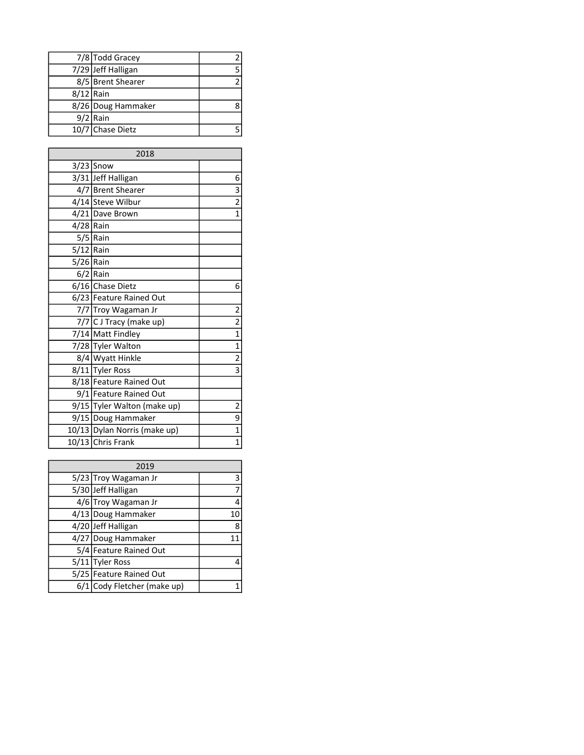|             | 7/8 Todd Gracey    | 2  |
|-------------|--------------------|----|
|             | 7/29 Jeff Halligan | 5. |
|             | 8/5 Brent Shearer  | 2  |
| $8/12$ Rain |                    |    |
|             | 8/26 Doug Hammaker |    |
|             | $9/2$ Rain         |    |
|             | 10/7 Chase Dietz   |    |

| 2018        |                              |                         |
|-------------|------------------------------|-------------------------|
|             | $3/23$ Snow                  |                         |
|             | 3/31 Jeff Halligan           | 6                       |
|             | 4/7 Brent Shearer            | 3                       |
|             | 4/14 Steve Wilbur            | $\overline{2}$          |
|             | 4/21 Dave Brown              | 1                       |
| $4/28$ Rain |                              |                         |
|             | $5/5$ Rain                   |                         |
| $5/12$ Rain |                              |                         |
| $5/26$ Rain |                              |                         |
|             | $6/2$ Rain                   |                         |
|             | 6/16 Chase Dietz             | 6                       |
|             | 6/23 Feature Rained Out      |                         |
|             | 7/7 Troy Wagaman Jr          | $\overline{\mathbf{c}}$ |
|             | 7/7 C J Tracy (make up)      | $\overline{2}$          |
|             | 7/14 Matt Findley            | $\mathbf 1$             |
|             | 7/28 Tyler Walton            | $\mathbf 1$             |
|             | 8/4 Wyatt Hinkle             | $\overline{\mathbf{c}}$ |
|             | 8/11 Tyler Ross              | $\overline{3}$          |
|             | 8/18 Feature Rained Out      |                         |
|             | 9/1 Feature Rained Out       |                         |
|             | 9/15 Tyler Walton (make up)  | 2                       |
|             | 9/15 Doug Hammaker           | 9                       |
|             | 10/13 Dylan Norris (make up) | 1                       |
|             | 10/13 Chris Frank            | 1                       |

| 2019 |                             |    |
|------|-----------------------------|----|
|      | 5/23 Troy Wagaman Jr        | 3  |
|      | 5/30 Jeff Halligan          | 7  |
|      | 4/6 Troy Wagaman Jr         | 4  |
|      | 4/13 Doug Hammaker          | 10 |
|      | 4/20 Jeff Halligan          | 8  |
|      | 4/27 Doug Hammaker          | 11 |
|      | 5/4 Feature Rained Out      |    |
|      | 5/11 Tyler Ross             | 4  |
|      | 5/25 Feature Rained Out     |    |
|      | 6/1 Cody Fletcher (make up) |    |